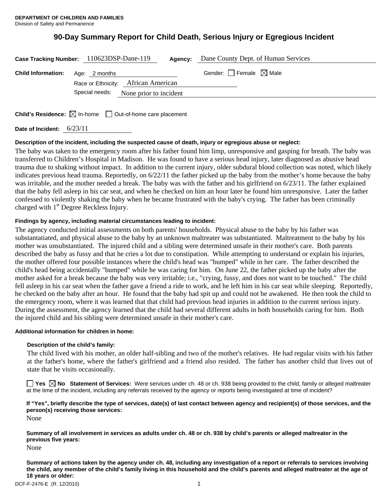# **90-Day Summary Report for Child Death, Serious Injury or Egregious Incident**

| Case Tracking Number: 110623DSP-Dane-119 |                                       |  | Agency: | Dane County Dept. of Human Services    |
|------------------------------------------|---------------------------------------|--|---------|----------------------------------------|
| <b>Child Information:</b> Age: 2 months  | Race or Ethnicity: African American   |  |         | Gender: $\Box$ Female $\boxtimes$ Male |
|                                          | Special needs: None prior to incident |  |         |                                        |

**Child's Residence:**  $\boxtimes$  In-home  $\Box$  Out-of-home care placement

**Date of Incident:** 6/23/11

## **Description of the incident, including the suspected cause of death, injury or egregious abuse or neglect:**

The baby was taken to the emergency room after his father found him limp, unresponsive and gasping for breath. The baby was transferred to Children's Hospital in Madison. He was found to have a serious head injury, later diagnosed as abusive head trauma due to shaking without impact. In addition to the current injury, older subdural blood collection was noted, which likely indicates previous head trauma. Reportedly, on 6/22/11 the father picked up the baby from the mother's home because the baby was irritable, and the mother needed a break. The baby was with the father and his girlfriend on 6/23/11. The father explained that the baby fell asleep in his car seat, and when he checked on him an hour later he found him unresponsive. Later the father confessed to violently shaking the baby when he became frustrated with the baby's crying. The father has been criminally charged with 1<sup>st</sup> Degree Reckless Injury.

# **Findings by agency, including material circumstances leading to incident:**

The agency conducted initial assessments on both parents' households. Physical abuse to the baby by his father was substantatiated, and physical abuse to the baby by an unknown maltreater was substantiated. Maltreatment to the baby by his mother was unsubstantiated. The injured child and a sibling were determined unsafe in their mother's care. Both parents described the baby as fussy and that he cries a lot due to constipation. While attempting to understand or explain his injuries, the mother offered four possible instances where the child's head was "bumped" while in her care. The father described the child's head being accidentally "bumped" while he was caring for him. On June 22, the father picked up the baby after the mother asked for a break because the baby was very irritable; i.e., "crying, fussy, and does not want to be touched." The child fell asleep in his car seat when the father gave a friend a ride to work, and he left him in his car seat while sleeping. Reportedly, he checked on the baby after an hour. He found that the baby had spit up and could not be awakened. He then took the child to the emergency room, where it was learned that that child had previous head injuries in addition to the current serious injury. During the assessment, the agency learned that the child had several different adults in both households caring for him. Both the injured child and his sibling were determined unsafe in their mother's care.

## **Additional information for children in home:**

## **Description of the child's family:**

The child lived with his mother, an older half-sibling and two of the mother's relatives. He had regular visits with his father at the father's home, where the father's girlfriend and a friend also resided. The father has another child that lives out of state that he visits occasionally.

■ Yes **No** Statement of Services: Were services under ch. 48 or ch. 938 being provided to the child, family or alleged maltreater at the time of the incident, including any referrals received by the agency or reports being investigated at time of incident?

# **If "Yes", briefly describe the type of services, date(s) of last contact between agency and recipient(s) of those services, and the person(s) receiving those services:**

None

**Summary of all involvement in services as adults under ch. 48 or ch. 938 by child's parents or alleged maltreater in the previous five years:** 

None

**Summary of actions taken by the agency under ch. 48, including any investigation of a report or referrals to services involving the child, any member of the child's family living in this household and the child's parents and alleged maltreater at the age of 18 years or older:**